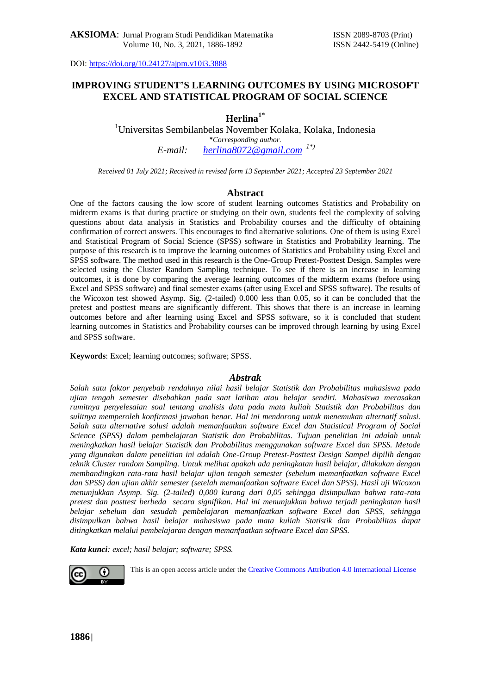## **IMPROVING STUDENT'S LEARNING OUTCOMES BY USING MICROSOFT EXCEL AND STATISTICAL PROGRAM OF SOCIAL SCIENCE**

# **Herlina1\***

<sup>1</sup>Universitas Sembilanbelas November Kolaka, Kolaka, Indonesia \**Corresponding author. E-mail: [herlina8072@gmail.com](mailto:herlina8072@gmail.com) 1\*)*

*Received 01 July 2021; Received in revised form 13 September 2021; Accepted 23 September 2021*

### **Abstract**

One of the factors causing the low score of student learning outcomes Statistics and Probability on midterm exams is that during practice or studying on their own, students feel the complexity of solving questions about data analysis in Statistics and Probability courses and the difficulty of obtaining confirmation of correct answers. This encourages to find alternative solutions. One of them is using Excel and Statistical Program of Social Science (SPSS) software in Statistics and Probability learning. The purpose of this research is to improve the learning outcomes of Statistics and Probability using Excel and SPSS software. The method used in this research is the One-Group Pretest-Posttest Design. Samples were selected using the Cluster Random Sampling technique. To see if there is an increase in learning outcomes, it is done by comparing the average learning outcomes of the midterm exams (before using Excel and SPSS software) and final semester exams (after using Excel and SPSS software). The results of the Wicoxon test showed Asymp. Sig. (2-tailed) 0.000 less than 0.05, so it can be concluded that the pretest and posttest means are significantly different. This shows that there is an increase in learning outcomes before and after learning using Excel and SPSS software, so it is concluded that student learning outcomes in Statistics and Probability courses can be improved through learning by using Excel and SPSS software.

**Keywords**: Excel; learning outcomes; software; SPSS.

#### *Abstrak*

*Salah satu faktor penyebab rendahnya nilai hasil belajar Statistik dan Probabilitas mahasiswa pada ujian tengah semester disebabkan pada saat latihan atau belajar sendiri. Mahasiswa merasakan rumitnya penyelesaian soal tentang analisis data pada mata kuliah Statistik dan Probabilitas dan sulitnya memperoleh konfirmasi jawaban benar. Hal ini mendorong untuk menemukan alternatif solusi. Salah satu alternative solusi adalah memanfaatkan software Excel dan Statistical Program of Social Science (SPSS) dalam pembelajaran Statistik dan Probabilitas. Tujuan penelitian ini adalah untuk meningkatkan hasil belajar Statistik dan Probabilitas menggunakan software Excel dan SPSS. Metode yang digunakan dalam penelitian ini adalah One-Group Pretest-Posttest Design. Sampel dipilih dengan teknik Cluster random Sampling. Untuk melihat apakah ada peningkatan hasil belajar, dilakukan dengan membandingkan rata-rata hasil belajar ujian tengah semester (sebelum memanfaatkan software Excel dan SPSS) dan ujian akhir semester (setelah memanfaatkan software Excel dan SPSS). Hasil uji Wicoxon menunjukkan Asymp. Sig. (2-tailed) 0,000 kurang dari 0,05 sehingga disimpulkan bahwa rata-rata pretest dan posttest berbeda secara signifikan. Hal ini menunjukkan bahwa terjadi peningkatan hasil belajar sebelum dan sesudah pembelajaran memanfaatkan software Excel dan SPSS, sehingga disimpulkan bahwa hasil belajar mahasiswa pada mata kuliah Statistik dan Probabilitas dapat ditingkatkan melalui pembelajaran dengan memanfaatkan software Excel dan SPSS.*

*Kata kunci: excel; hasil belajar; software; SPSS.*



This is an open access article under the [Creative Commons Attribution 4.0 International License](http://creativecommons.org/licenses/by/4.0/)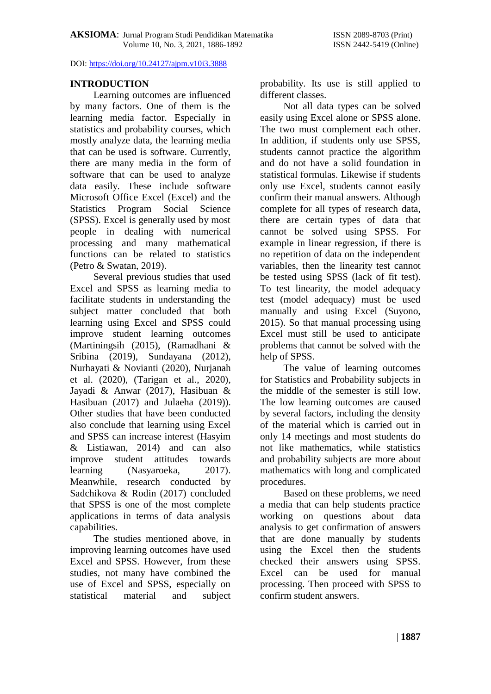### **INTRODUCTION**

Learning outcomes are influenced by many factors. One of them is the learning media factor. Especially in statistics and probability courses, which mostly analyze data, the learning media that can be used is software. Currently, there are many media in the form of software that can be used to analyze data easily. These include software Microsoft Office Excel (Excel) and the Statistics Program Social Science (SPSS). Excel is generally used by most people in dealing with numerical processing and many mathematical functions can be related to statistics (Petro & Swatan, 2019).

Several previous studies that used Excel and SPSS as learning media to facilitate students in understanding the subject matter concluded that both learning using Excel and SPSS could improve student learning outcomes (Martiningsih (2015), (Ramadhani & Sribina (2019), Sundayana (2012), Nurhayati & Novianti (2020), Nurjanah et al. (2020), (Tarigan et al., 2020), Jayadi & Anwar (2017), Hasibuan & Hasibuan (2017) and Julaeha (2019)). Other studies that have been conducted also conclude that learning using Excel and SPSS can increase interest (Hasyim & Listiawan, 2014) and can also improve student attitudes towards learning (Nasyaroeka, 2017). Meanwhile, research conducted by Sadchikova & Rodin (2017) concluded that SPSS is one of the most complete applications in terms of data analysis capabilities.

The studies mentioned above, in improving learning outcomes have used Excel and SPSS. However, from these studies, not many have combined the use of Excel and SPSS, especially on statistical material and subject probability. Its use is still applied to different classes.

Not all data types can be solved easily using Excel alone or SPSS alone. The two must complement each other. In addition, if students only use SPSS, students cannot practice the algorithm and do not have a solid foundation in statistical formulas. Likewise if students only use Excel, students cannot easily confirm their manual answers. Although complete for all types of research data, there are certain types of data that cannot be solved using SPSS. For example in linear regression, if there is no repetition of data on the independent variables, then the linearity test cannot be tested using SPSS (lack of fit test). To test linearity, the model adequacy test (model adequacy) must be used manually and using Excel (Suyono, 2015). So that manual processing using Excel must still be used to anticipate problems that cannot be solved with the help of SPSS.

The value of learning outcomes for Statistics and Probability subjects in the middle of the semester is still low. The low learning outcomes are caused by several factors, including the density of the material which is carried out in only 14 meetings and most students do not like mathematics, while statistics and probability subjects are more about mathematics with long and complicated procedures.

Based on these problems, we need a media that can help students practice working on questions about data analysis to get confirmation of answers that are done manually by students using the Excel then the students checked their answers using SPSS. Excel can be used for manual processing. Then proceed with SPSS to confirm student answers.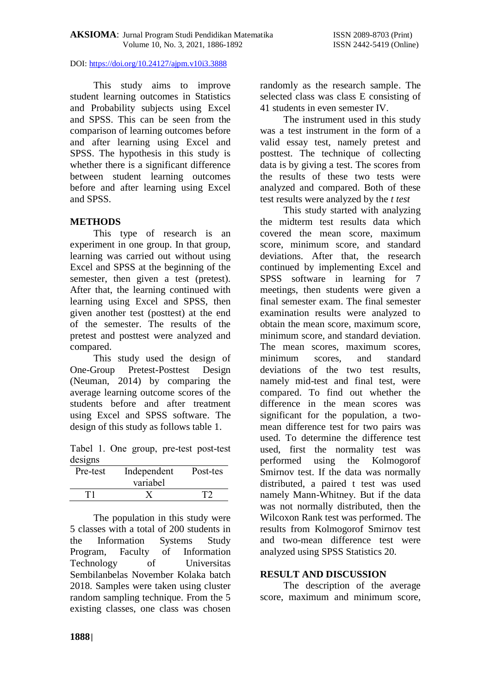This study aims to improve student learning outcomes in Statistics and Probability subjects using Excel and SPSS. This can be seen from the comparison of learning outcomes before and after learning using Excel and SPSS. The hypothesis in this study is whether there is a significant difference between student learning outcomes before and after learning using Excel and SPSS.

# **METHODS**

This type of research is an experiment in one group. In that group, learning was carried out without using Excel and SPSS at the beginning of the semester, then given a test (pretest). After that, the learning continued with learning using Excel and SPSS, then given another test (posttest) at the end of the semester. The results of the pretest and posttest were analyzed and compared.

This study used the design of One-Group Pretest-Posttest Design (Neuman, 2014) by comparing the average learning outcome scores of the students before and after treatment using Excel and SPSS software. The design of this study as follows table 1.

Tabel 1. One group, pre-test post-test designs

| Pre-test | Independent<br>variabel | Post-tes |
|----------|-------------------------|----------|
|          |                         |          |

The population in this study were 5 classes with a total of 200 students in the Information Systems Study Program, Faculty of Information Technology of Universitas Sembilanbelas November Kolaka batch 2018. Samples were taken using cluster random sampling technique. From the 5 existing classes, one class was chosen randomly as the research sample. The selected class was class E consisting of 41 students in even semester IV.

The instrument used in this study was a test instrument in the form of a valid essay test, namely pretest and posttest. The technique of collecting data is by giving a test. The scores from the results of these two tests were analyzed and compared. Both of these test results were analyzed by the *t test*

This study started with analyzing the midterm test results data which covered the mean score, maximum score, minimum score, and standard deviations. After that, the research continued by implementing Excel and SPSS software in learning for 7 meetings, then students were given a final semester exam. The final semester examination results were analyzed to obtain the mean score, maximum score, minimum score, and standard deviation. The mean scores, maximum scores, minimum scores, and standard deviations of the two test results, namely mid-test and final test, were compared. To find out whether the difference in the mean scores was significant for the population, a twomean difference test for two pairs was used. To determine the difference test used, first the normality test was performed using the Kolmogorof Smirnov test. If the data was normally distributed, a paired t test was used namely Mann-Whitney. But if the data was not normally distributed, then the Wilcoxon Rank test was performed. The results from Kolmogorof Smirnov test and two-mean difference test were analyzed using SPSS Statistics 20.

## **RESULT AND DISCUSSION**

The description of the average score, maximum and minimum score,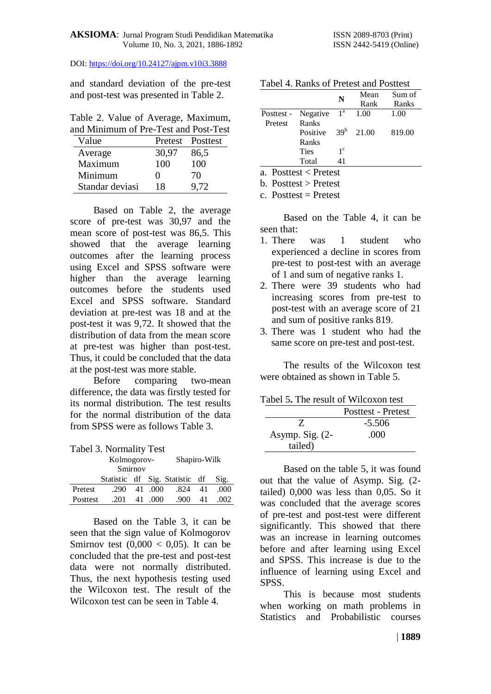and standard deviation of the pre-test and post-test was presented in Table 2.

Table 2. Value of Average, Maximum, and Minimum of Pre-Test and Post-Test

| and Minimum of Fie-Test and Fost-Test |                   |                  |  |
|---------------------------------------|-------------------|------------------|--|
| Value                                 |                   | Pretest Posttest |  |
| Average                               | 30,97             | 86,5             |  |
| Maximum                               | 100               | 100              |  |
| Minimum                               | $\mathbf{\Omega}$ | 70               |  |
| Standar deviasi                       | 18                | 9,72             |  |

Based on Table 2, the average score of pre-test was 30,97 and the mean score of post-test was 86,5. This showed that the average learning outcomes after the learning process using Excel and SPSS software were higher than the average learning outcomes before the students used Excel and SPSS software. Standard deviation at pre-test was 18 and at the post-test it was 9,72. It showed that the distribution of data from the mean score at pre-test was higher than post-test. Thus, it could be concluded that the data at the post-test was more stable.

Before comparing two-mean difference, the data was firstly tested for its normal distribution. The test results for the normal distribution of the data from SPSS were as follows Table 3.

|          | Kolmogorov-                    |    | Shapiro-Wilk |      |    |      |
|----------|--------------------------------|----|--------------|------|----|------|
| Smirnov  |                                |    |              |      |    |      |
|          | Statistic df Sig. Statistic df |    |              |      |    | Sig. |
| Pretest  | .290                           |    | 41 .000      | .824 | 41 | .000 |
| Posttest | .201                           | 41 | .000.        | .900 | 41 | .002 |

Based on the Table 3, it can be seen that the sign value of Kolmogorov Smirnov test  $(0,000 < 0,05)$ . It can be concluded that the pre-test and post-test data were not normally distributed. Thus, the next hypothesis testing used the Wilcoxon test. The result of the Wilcoxon test can be seen in Table 4.

|         |                           | N               | Mean  | Sum of |
|---------|---------------------------|-----------------|-------|--------|
|         |                           |                 | Rank  | Ranks  |
|         | Posttest - Negative $1^a$ |                 | 1.00  | 1.00   |
| Pretest | Ranks                     |                 |       |        |
|         | Positive                  | 39 <sup>b</sup> | 21.00 | 819.00 |
|         | Ranks                     |                 |       |        |
|         | <b>Ties</b>               | $1^{\circ}$     |       |        |
|         | Total                     | 41              |       |        |
|         | $\cdots$ $\blacksquare$   |                 |       |        |

Tabel 4. Ranks of Pretest and Posttest

a. Posttest < Pretest

b. Posttest > Pretest

c. Posttest  $=$  Pretest

Based on the Table 4, it can be seen that:

- 1. There was 1 student who experienced a decline in scores from pre-test to post-test with an average of 1 and sum of negative ranks 1.
- 2. There were 39 students who had increasing scores from pre-test to post-test with an average score of 21 and sum of positive ranks 819.
- 3. There was 1 student who had the same score on pre-test and post-test.

The results of the Wilcoxon test were obtained as shown in Table 5.

|  |  | Tabel 5. The result of Wilcoxon test |
|--|--|--------------------------------------|
|--|--|--------------------------------------|

|                   | Posttest - Pretest |
|-------------------|--------------------|
| $\mathcal I$      | $-5.506$           |
| Asymp. Sig. $(2-$ | .000               |
| tailed)           |                    |

Based on the table 5, it was found out that the value of Asymp. Sig. (2 tailed) 0,000 was less than 0,05. So it was concluded that the average scores of pre-test and post-test were different significantly. This showed that there was an increase in learning outcomes before and after learning using Excel and SPSS. This increase is due to the influence of learning using Excel and SPSS.

This is because most students when working on math problems in Statistics and Probabilistic courses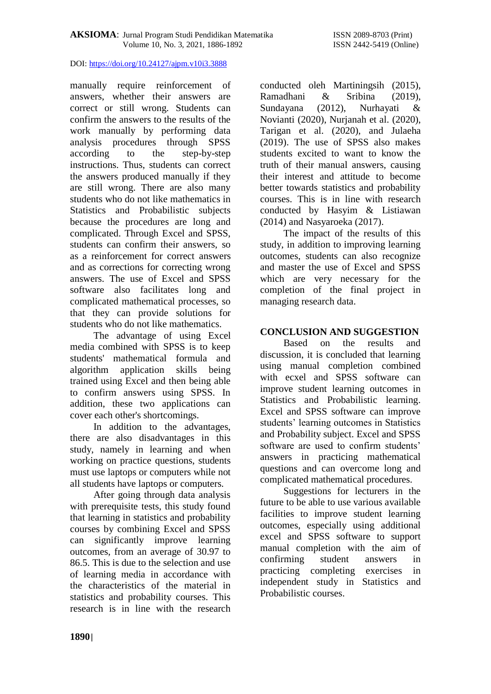manually require reinforcement of answers, whether their answers are correct or still wrong. Students can confirm the answers to the results of the work manually by performing data analysis procedures through SPSS according to the step-by-step instructions. Thus, students can correct the answers produced manually if they are still wrong. There are also many students who do not like mathematics in Statistics and Probabilistic subjects because the procedures are long and complicated. Through Excel and SPSS, students can confirm their answers, so as a reinforcement for correct answers and as corrections for correcting wrong answers. The use of Excel and SPSS software also facilitates long and complicated mathematical processes, so that they can provide solutions for students who do not like mathematics.

The advantage of using Excel media combined with SPSS is to keep students' mathematical formula and algorithm application skills being trained using Excel and then being able to confirm answers using SPSS. In addition, these two applications can cover each other's shortcomings.

In addition to the advantages, there are also disadvantages in this study, namely in learning and when working on practice questions, students must use laptops or computers while not all students have laptops or computers.

After going through data analysis with prerequisite tests, this study found that learning in statistics and probability courses by combining Excel and SPSS can significantly improve learning outcomes, from an average of 30.97 to 86.5. This is due to the selection and use of learning media in accordance with the characteristics of the material in statistics and probability courses. This research is in line with the research

conducted oleh Martiningsih (2015), Ramadhani & Sribina (2019), Sundayana (2012), Nurhayati & Novianti (2020), Nurjanah et al. (2020), Tarigan et al. (2020), and Julaeha (2019). The use of SPSS also makes students excited to want to know the truth of their manual answers, causing their interest and attitude to become better towards statistics and probability courses. This is in line with research conducted by Hasyim & Listiawan (2014) and Nasyaroeka (2017).

The impact of the results of this study, in addition to improving learning outcomes, students can also recognize and master the use of Excel and SPSS which are very necessary for the completion of the final project in managing research data.

# **CONCLUSION AND SUGGESTION**

Based on the results and discussion, it is concluded that learning using manual completion combined with ecxel and SPSS software can improve student learning outcomes in Statistics and Probabilistic learning. Excel and SPSS software can improve students' learning outcomes in Statistics and Probability subject. Excel and SPSS software are used to confirm students' answers in practicing mathematical questions and can overcome long and complicated mathematical procedures.

Suggestions for lecturers in the future to be able to use various available facilities to improve student learning outcomes, especially using additional excel and SPSS software to support manual completion with the aim of confirming student answers in practicing completing exercises in independent study in Statistics and Probabilistic courses.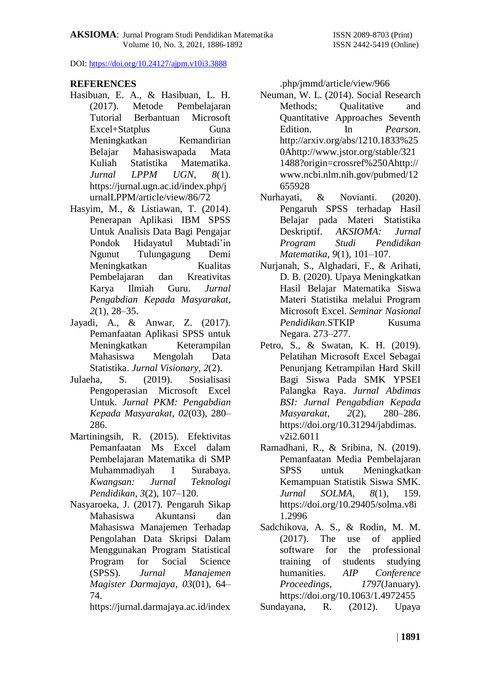# **REFERENCES**

- Hasibuan, E. A., & Hasibuan, L. H. (2017). Metode Pembelajaran Tutorial Berbantuan Microsoft Excel+Statplus Guna Meningkatkan Kemandirian Belajar Mahasiswapada Mata Kuliah Statistika Matematika. *Jurnal LPPM UGN*, *8*(1). https://jurnal.ugn.ac.id/index.php/j urnalLPPM/article/view/86/72
- Hasyim, M., & Listiawan, T. (2014). Penerapan Aplikasi IBM SPSS Untuk Analisis Data Bagi Pengajar Pondok Hidayatul Mubtadi'in Ngunut Tulungagung Demi Meningkatkan Kualitas Pembelajaran dan Kreativitas Karya Ilmiah Guru. *Jurnal Pengabdian Kepada Masyarakat*, *2*(1), 28–35.
- Jayadi, A., & Anwar, Z. (2017). Pemanfaatan Aplikasi SPSS untuk Meningkatkan Keterampilan Mahasiswa Mengolah Data Statistika. *Jurnal Visionary, 2*(2).
- Julaeha, S. (2019). Sosialisasi Pengoperasian Microsoft Excel Untuk. *Jurnal PKM: Pengabdian Kepada Masyarakat*, *02*(03), 280– 286.
- Martiningsih, R. (2015). Efektivitas Pemanfaatan Ms Excel dalam Pembelajaran Matematika di SMP Muhammadiyah 1 Surabaya. *Kwangsan: Jurnal Teknologi Pendidikan*, *3*(2), 107–120.
- Nasyaroeka, J. (2017). Pengaruh Sikap Mahasiswa Akuntansi dan Mahasiswa Manajemen Terhadap Pengolahan Data Skripsi Dalam Menggunakan Program Statistical Program for Social Science (SPSS). *Jurnal Manajemen Magister Darmajaya*, *03*(01), 64– 74.

https://jurnal.darmajaya.ac.id/index

.php/jmmd/article/view/966

- Neuman, W. L. (2014). Social Research Methods: Oualitative and Quantitative Approaches Seventh Edition. In *Pearson*. http://arxiv.org/abs/1210.1833%25 0Ahttp://www.jstor.org/stable/321 1488?origin=crossref%250Ahttp:// www.ncbi.nlm.nih.gov/pubmed/12 655928
- Nurhayati, & Novianti. (2020). Pengaruh SPSS terhadap Hasil Belajar pada Materi Statistika Deskriptif. *AKSIOMA: Jurnal Program Studi Pendidikan Matematika*, *9*(1), 101–107.
- Nurjanah, S., Alghadari, F., & Arihati, D. B. (2020). Upaya Meningkatkan Hasil Belajar Matematika Siswa Materi Statistika melalui Program Microsoft Excel. *Seminar Nasional Pendidikan.*STKIP Kusuma Negara. 273–277.
- Petro, S., & Swatan, K. H. (2019). Pelatihan Microsoft Excel Sebagai Penunjang Ketrampilan Hard Skill Bagi Siswa Pada SMK YPSEI Palangka Raya. *Jurnal Abdimas BSI: Jurnal Pengabdian Kepada Masyarakat*, *2*(2), 280–286. https://doi.org/10.31294/jabdimas. v2i2.6011
- Ramadhani, R., & Sribina, N. (2019). Pemanfaatan Media Pembelajaran SPSS untuk Meningkatkan Kemampuan Statistik Siswa SMK. *Jurnal SOLMA*, *8*(1), 159. https://doi.org/10.29405/solma.v8i 1.2996
- Sadchikova, A. S., & Rodin, M. M. (2017). The use of applied software for the professional training of students studying humanities. *AIP Conference Proceedings*, *1797*(January). https://doi.org/10.1063/1.4972455

Sundayana, R. (2012). Upaya